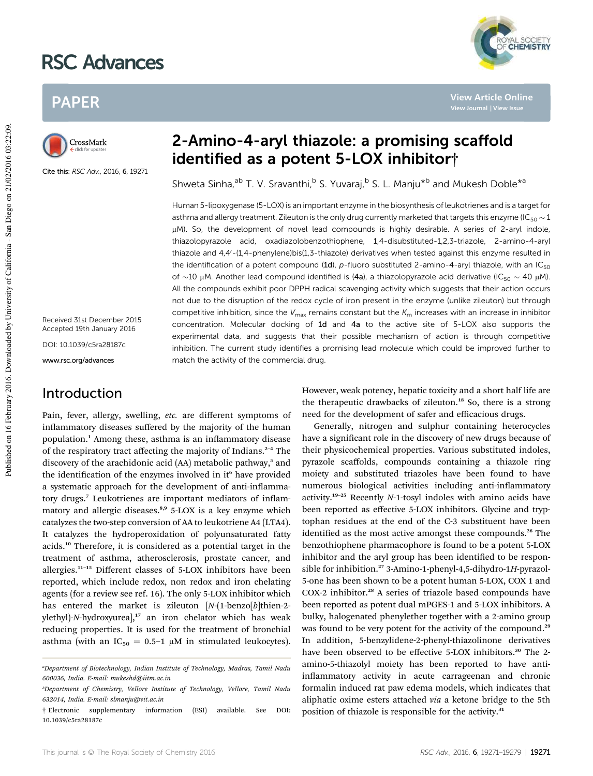# RSC Advances

## PAPER



Cite this: RSC Adv., 2016, 6, 19271

Received 31st December 2015 Accepted 19th January 2016

DOI: 10.1039/c5ra28187c

www.rsc.org/advances

### Introduction

Pain, fever, allergy, swelling, *etc.* are different symptoms of inflammatory diseases suffered by the majority of the human population.<sup>1</sup> Among these, asthma is an inflammatory disease of the respiratory tract affecting the majority of Indians.<sup>2</sup>–<sup>4</sup> The discovery of the arachidonic acid (AA) metabolic pathway,<sup>5</sup> and the identification of the enzymes involved in it<sup>6</sup> have provided a systematic approach for the development of anti-inflammatory drugs.<sup>7</sup> Leukotrienes are important mediators of inflammatory and allergic diseases.<sup>8,9</sup> 5-LOX is a key enzyme which catalyzes the two-step conversion of AA to leukotriene A4 (LTA4). It catalyzes the hydroperoxidation of polyunsaturated fatty acids.<sup>10</sup> Therefore, it is considered as a potential target in the treatment of asthma, atherosclerosis, prostate cancer, and allergies.<sup>11</sup>–<sup>15</sup> Different classes of 5-LOX inhibitors have been reported, which include redox, non redox and iron chelating agents (for a review see ref. 16). The only 5-LOX inhibitor which has entered the market is zileuton [N-(1-benzo[b]thien-2ylethyl)-*N*-hydroxyurea],<sup>17</sup> an iron chelator which has weak reducing properties. It is used for the treatment of bronchial asthma (with an  $IC_{50} = 0.5-1 \mu M$  in stimulated leukocytes).

## 2-Amino-4-aryl thiazole: a promising scaffold identified as a potent 5-LOX inhibitor†

Shweta Sinha,<sup>ab</sup> T. V. Sravanthi,<sup>b</sup> S. Yuvaraj,<sup>b</sup> S. L. Manju<sup>\*b</sup> and Mukesh Doble<sup>\*a</sup>

Human 5-lipoxygenase (5-LOX) is an important enzyme in the biosynthesis of leukotrienes and is a target for asthma and allergy treatment. Zileuton is the only drug currently marketed that targets this enzyme (IC<sub>50</sub>  $\sim$  1 µM). So, the development of novel lead compounds is highly desirable. A series of 2-aryl indole, thiazolopyrazole acid, oxadiazolobenzothiophene, 1,4-disubstituted-1,2,3-triazole, 2-amino-4-aryl thiazole and  $4.4'$ -(1,4-phenylene)bis(1,3-thiazole) derivatives when tested against this enzyme resulted in the identification of a potent compound (1d), p-fluoro substituted 2-amino-4-aryl thiazole, with an  $IC_{50}$ of  $\sim$ 10 µM. Another lead compound identified is (4a), a thiazolopyrazole acid derivative (IC<sub>50</sub>  $\sim$  40 µM). All the compounds exhibit poor DPPH radical scavenging activity which suggests that their action occurs not due to the disruption of the redox cycle of iron present in the enzyme (unlike zileuton) but through competitive inhibition, since the  $V_{\text{max}}$  remains constant but the  $K_{\text{m}}$  increases with an increase in inhibitor concentration. Molecular docking of 1d and 4a to the active site of 5-LOX also supports the experimental data, and suggests that their possible mechanism of action is through competitive inhibition. The current study identifies a promising lead molecule which could be improved further to match the activity of the commercial drug.

> However, weak potency, hepatic toxicity and a short half life are the therapeutic drawbacks of zileuton.<sup>18</sup> So, there is a strong need for the development of safer and efficacious drugs.

> Generally, nitrogen and sulphur containing heterocycles have a significant role in the discovery of new drugs because of their physicochemical properties. Various substituted indoles, pyrazole scaffolds, compounds containing a thiazole ring moiety and substituted triazoles have been found to have numerous biological activities including anti-inflammatory activity.<sup>19</sup>–<sup>25</sup> Recently *N*-1-tosyl indoles with amino acids have been reported as effective 5-LOX inhibitors. Glycine and tryptophan residues at the end of the C-3 substituent have been identified as the most active amongst these compounds.<sup>26</sup> The benzothiophene pharmacophore is found to be a potent 5-LOX inhibitor and the aryl group has been identified to be responsible for inhibition.<sup>27</sup> 3-Amino-1-phenyl-4,5-dihydro-1*H*-pyrazol-5-one has been shown to be a potent human 5-LOX, COX 1 and COX-2 inhibitor.<sup>28</sup> A series of triazole based compounds have been reported as potent dual mPGES-1 and 5-LOX inhibitors. A bulky, halogenated phenylether together with a 2-amino group was found to be very potent for the activity of the compound.<sup>29</sup> In addition, 5-benzylidene-2-phenyl-thiazolinone derivatives have been observed to be effective 5-LOX inhibitors.<sup>30</sup> The 2amino-5-thiazolyl moiety has been reported to have antiinflammatory activity in acute carrageenan and chronic formalin induced rat paw edema models, which indicates that aliphatic oxime esters attached *via* a ketone bridge to the 5th position of thiazole is responsible for the activity.<sup>31</sup>



**View Article Online**

*<sup>a</sup>Department of Biotechnology, Indian Institute of Technology, Madras, Tamil Nadu 600036, India. E-mail: mukeshd@iitm.ac.in*

*<sup>b</sup>Department of Chemistry, Vellore Institute of Technology, Vellore, Tamil Nadu 632014, India. E-mail: slmanju@vit.ac.in*

<sup>†</sup> Electronic supplementary information (ESI) available. See DOI: 10.1039/c5ra28187c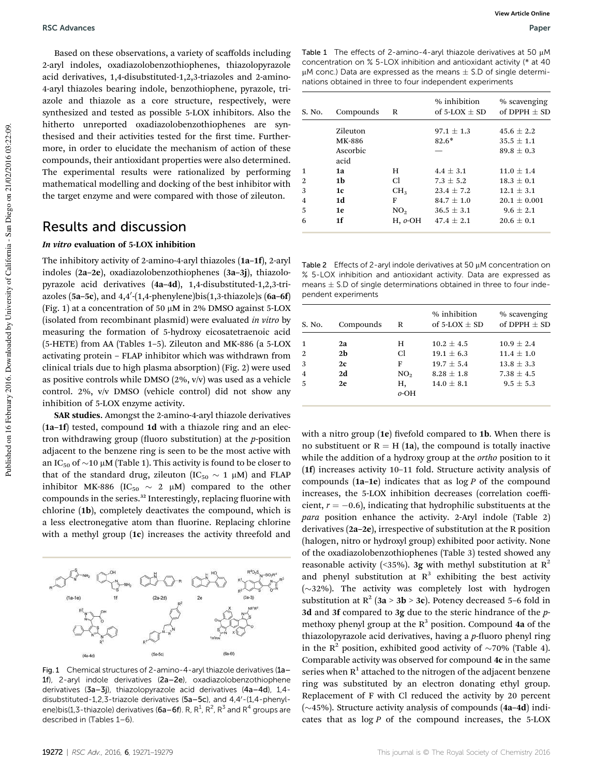Based on these observations, a variety of scaffolds including 2-aryl indoles, oxadiazolobenzothiophenes, thiazolopyrazole acid derivatives, 1,4-disubstituted-1,2,3-triazoles and 2-amino-4-aryl thiazoles bearing indole, benzothiophene, pyrazole, triazole and thiazole as a core structure, respectively, were synthesized and tested as possible 5-LOX inhibitors. Also the hitherto unreported oxadiazolobenzothiophenes are synthesised and their activities tested for the first time. Furthermore, in order to elucidate the mechanism of action of these compounds, their antioxidant properties were also determined. The experimental results were rationalized by performing mathematical modelling and docking of the best inhibitor with the target enzyme and were compared with those of zileuton.

### Results and discussion

#### In vitro evaluation of 5-LOX inhibition

The inhibitory activity of 2-amino-4-aryl thiazoles (1a–1f), 2-aryl indoles (2a–2e), oxadiazolobenzothiophenes (3a–3j), thiazolopyrazole acid derivatives (4a–4d), 1,4-disubstituted-1,2,3-triazoles (5a-5 $c$ ), and 4,4'-(1,4-phenylene)bis(1,3-thiazole)s (6a-6f) (Fig. 1) at a concentration of 50  $\mu$ M in 2% DMSO against 5-LOX (isolated from recombinant plasmid) were evaluated *in vitro* by measuring the formation of 5-hydroxy eicosatetraenoic acid (5-HETE) from AA (Tables 1–5). Zileuton and MK-886 (a 5-LOX activating protein – FLAP inhibitor which was withdrawn from clinical trials due to high plasma absorption) (Fig. 2) were used as positive controls while DMSO  $(2\%, v/v)$  was used as a vehicle control. 2%, v/v DMSO (vehicle control) did not show any inhibition of 5-LOX enzyme activity.

SAR studies. Amongst the 2-amino-4-aryl thiazole derivatives (1a–1f) tested, compound 1d with a thiazole ring and an electron withdrawing group (fluoro substitution) at the *p*-position adjacent to the benzene ring is seen to be the most active with an IC<sub>50</sub> of  $\sim$ 10 µM (Table 1). This activity is found to be closer to that of the standard drug, zileuton (IC<sub>50</sub>  $\sim$  1  $\mu$ M) and FLAP inhibitor MK-886 (IC<sub>50</sub>  $\sim$  2  $\mu$ M) compared to the other compounds in the series.<sup>32</sup> Interestingly, replacing fluorine with chlorine (1b), completely deactivates the compound, which is a less electronegative atom than fluorine. Replacing chlorine with a methyl group (1c) increases the activity threefold and



Fig. 1 Chemical structures of 2-amino-4-aryl thiazole derivatives (1a– 1f), 2-aryl indole derivatives (2a–2e), oxadiazolobenzothiophene derivatives (3a–3j), thiazolopyrazole acid derivatives (4a–4d), 1,4 disubstituted-1,2,3-triazole derivatives  $(5a-5c)$ , and  $4,4'$ - $(1,4$ -phenylene)bis(1,3-thiazole) derivatives (6a–6f). R, R<sup>1</sup>, R<sup>2</sup>, R<sup>3</sup> and R<sup>4</sup> groups are described in (Tables 1–6).

|                                                                             | Table 1 The effects of 2-amino-4-aryl thiazole derivatives at 50 µM   |  |  |  |  |
|-----------------------------------------------------------------------------|-----------------------------------------------------------------------|--|--|--|--|
|                                                                             | concentration on % 5-LOX inhibition and antioxidant activity (* at 40 |  |  |  |  |
| $\mu$ M conc.) Data are expressed as the means $\pm$ S.D of single determi- |                                                                       |  |  |  |  |
|                                                                             | nations obtained in three to four independent experiments             |  |  |  |  |

| S. No.         | Compounds | R               | % inhibition<br>of $5-LOX + SD$ | % scavenging<br>of $DPPH + SD$ |
|----------------|-----------|-----------------|---------------------------------|--------------------------------|
|                | Zileuton  |                 | $97.1 + 1.3$                    | $45.6 + 2.2$                   |
|                | MK-886    |                 | $82.6*$                         | $35.5 \pm 1.1$                 |
|                | Ascorbic  |                 |                                 | $89.8 + 0.3$                   |
|                | acid      |                 |                                 |                                |
| 1              | 1a        | H               | $4.4 + 3.1$                     | $11.0 + 1.4$                   |
| 2              | 1b        | Cl.             | $7.3 + 5.2$                     | $18.3 + 0.1$                   |
| 3              | 1c        | CH <sub>3</sub> | $23.4 + 7.2$                    | $12.1 + 3.1$                   |
| $\overline{4}$ | 1d        | F               | $84.7 + 1.0$                    | $20.1 + 0.001$                 |
| 5              | 1e        | NO <sub>2</sub> | $36.5 \pm 3.1$                  | $9.6 + 2.1$                    |
| 6              | 1f        | $H, o-OH$       | $47.4 + 2.1$                    | $20.6 + 0.1$                   |

Table 2 Effects of 2-aryl indole derivatives at 50  $\mu$ M concentration on % 5-LOX inhibition and antioxidant activity. Data are expressed as means  $\pm$  S.D of single determinations obtained in three to four independent experiments

| S. No.         | Compounds      | R               | % inhibition<br>of 5-LOX $\pm$ SD | % scavenging<br>of DPPH $\pm$ SD |
|----------------|----------------|-----------------|-----------------------------------|----------------------------------|
|                | 2a             | н               | $10.2 + 4.5$                      | $10.9 + 2.4$                     |
| $\overline{2}$ | 2 <sub>b</sub> | Cl              | $19.1 + 6.3$                      | $11.4 + 1.0$                     |
| 3              | 2c             | F               | $19.7 + 5.4$                      | $13.8 + 3.3$                     |
| $\overline{4}$ | 2d             | NO <sub>2</sub> | $8.28 + 1.8$                      | $7.38 + 4.5$                     |
| 5              | 2e             | Н,              | $14.0 + 8.1$                      | $9.5 + 5.3$                      |
|                |                | $o$ -OH         |                                   |                                  |

with a nitro group  $(1e)$  fivefold compared to 1b. When there is no substituent or  $R = H (1a)$ , the compound is totally inactive while the addition of a hydroxy group at the *ortho* position to it (1f) increases activity 10–11 fold. Structure activity analysis of compounds (1a–1e) indicates that as log *P* of the compound increases, the 5-LOX inhibition decreases (correlation coefficient,  $r = -0.6$ ), indicating that hydrophilic substituents at the *para* position enhance the activity. 2-Aryl indole (Table 2) derivatives (2a–2e), irrespective of substitution at the R position (halogen, nitro or hydroxyl group) exhibited poor activity. None of the oxadiazolobenzothiophenes (Table 3) tested showed any reasonable activity (<35%). 3g with methyl substitution at  $R^2$ and phenyl substitution at  $R^3$  exhibiting the best activity  $(\sim]32\%)$ . The activity was completely lost with hydrogen substitution at  $R^2$  (3a > 3b > 3c). Potency decreased 5-6 fold in 3d and 3f compared to 3g due to the steric hindrance of the *p*methoxy phenyl group at the  $R<sup>3</sup>$  position. Compound 4a of the thiazolopyrazole acid derivatives, having a *p*-fluoro phenyl ring in the R<sup>2</sup> position, exhibited good activity of  $\sim$ 70% (Table 4). Comparable activity was observed for compound 4c in the same series when  $R^1$  attached to the nitrogen of the adjacent benzene ring was substituted by an electron donating ethyl group. Replacement of F with Cl reduced the activity by 20 percent  $(\sim$ 45%). Structure activity analysis of compounds (4a–4d) indicates that as log *P* of the compound increases, the 5-LOX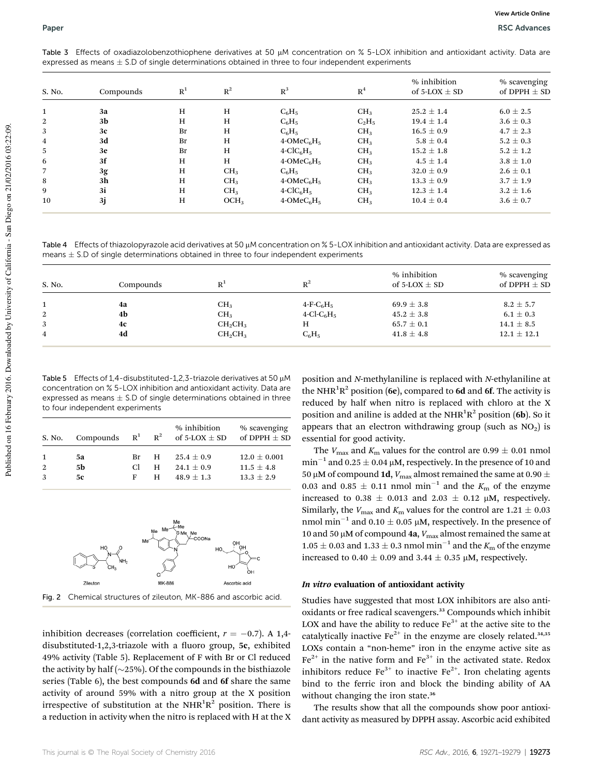Table 3 Effects of oxadiazolobenzothiophene derivatives at 50 µM concentration on % 5-LOX inhibition and antioxidant activity. Data are expressed as means  $\pm$  S.D of single determinations obtained in three to four independent experiments

| S. No.         | Compounds      | R <sup>1</sup> | $R^2$            | $R^3$             | R <sup>4</sup>  | % inhibition<br>of 5-LOX $\pm$ SD | % scavenging<br>of DPPH $\pm$ SD |
|----------------|----------------|----------------|------------------|-------------------|-----------------|-----------------------------------|----------------------------------|
| $\mathbf{1}$   | 3a             | H              | H                | $C_6H_5$          | CH <sub>3</sub> | $25.2 \pm 1.4$                    | $6.0 \pm 2.5$                    |
| 2              | 3b             | H              | H                | $C_6H_5$          | $C_2H_5$        | $19.4 \pm 1.4$                    | $3.6 \pm 0.3$                    |
| 3              | 3c             | Br             | H                | $C_6H_5$          | CH <sub>3</sub> | $16.5 \pm 0.9$                    | $4.7 \pm 2.3$                    |
| $\overline{4}$ | 3d             | Br             | H                | $4$ -OMe $C_6H_5$ | CH <sub>3</sub> | $5.8 \pm 0.4$                     | $5.2 \pm 0.3$                    |
| 5              | 3e             | Br             | H                | $4-CIC6H5$        | CH <sub>3</sub> | $15.2 \pm 1.8$                    | $5.2 \pm 1.2$                    |
| -6             | 3f             | H              | H                | $4$ -OMe $C_6H_5$ | CH <sub>3</sub> | $4.5 \pm 1.4$                     | $3.8 \pm 1.0$                    |
| $\overline{7}$ | 3g             | H              | CH <sub>3</sub>  | $C_6H_5$          | CH <sub>3</sub> | $32.0 \pm 0.9$                    | $2.6 \pm 0.1$                    |
| 8              | 3 <sub>h</sub> | H              | CH <sub>3</sub>  | $4$ -OMe $C_6H_5$ | CH <sub>3</sub> | $13.3 \pm 0.9$                    | $3.7 \pm 1.9$                    |
| 9              | 3i             | H              | CH <sub>3</sub>  | $4-CIC6H5$        | CH <sub>3</sub> | $12.3 \pm 1.4$                    | $3.2 \pm 1.6$                    |
| 10             | 3j             | H              | OCH <sub>3</sub> | $4$ -OMe $C_6H_5$ | CH <sub>3</sub> | $10.4 \pm 0.4$                    | $3.6 \pm 0.7$                    |

Table 4 Effects of thiazolopyrazole acid derivatives at 50 µM concentration on % 5-LOX inhibition and antioxidant activity. Data are expressed as means  $\pm$  S.D of single determinations obtained in three to four independent experiments

| S. No.       | Compounds | R <sup>1</sup>                  | $R^2$                                 | % inhibition<br>of 5-LOX $\pm$ SD | % scavenging<br>of DPPH $\pm$ SD |
|--------------|-----------|---------------------------------|---------------------------------------|-----------------------------------|----------------------------------|
|              | 4a        | CH <sub>3</sub>                 | $4-F-C6H5$                            | $69.9 \pm 3.8$                    | $8.2 \pm 5.7$                    |
| <sup>2</sup> | 4b        | CH <sub>3</sub>                 | $4$ -Cl-C <sub>6</sub> H <sub>5</sub> | $45.2 \pm 3.8$                    | $6.1 \pm 0.3$                    |
| 3            | 4c        | CH <sub>2</sub> CH <sub>3</sub> | Н                                     | $65.7 \pm 0.1$                    | $14.1 \pm 8.5$                   |
| 4            | 4d        | $CH_2CH_3$                      | $C_6H_5$                              | $41.8 \pm 4.8$                    | $12.1 \pm 12.1$                  |

Table 5 Effects of 1,4-disubstituted-1,2,3-triazole derivatives at 50  $\mu$ M concentration on % 5-LOX inhibition and antioxidant activity. Data are expressed as means  $\pm$  S.D of single determinations obtained in three to four independent experiments

| S. No.       | Compounds $R^1$ $R^2$ |    |          | % inhibition<br>of 5-LOX $\pm$ SD | % scavenging<br>of DPPH $\pm$ SD |
|--------------|-----------------------|----|----------|-----------------------------------|----------------------------------|
| $\mathbf{1}$ | 5a                    | Br | <b>H</b> | $25.4 \pm 0.9$                    | $12.0 \pm 0.001$                 |
| 2            | 5b                    | C. | н        | $24.1 + 0.9$                      | $11.5 + 4.8$                     |
| 3            | 5с                    | F  | н        | $48.9 + 1.3$                      | $13.3 \pm 2.9$                   |



Fig. 2 Chemical structures of zileuton, MK-886 and ascorbic acid.

inhibition decreases (correlation coefficient,  $r = -0.7$ ). A 1,4disubstituted-1,2,3-triazole with a fluoro group,  $5c$ , exhibited 49% activity (Table 5). Replacement of F with Br or Cl reduced the activity by half ( $\sim$ 25%). Of the compounds in the bisthiazole series (Table 6), the best compounds 6d and 6f share the same activity of around 59% with a nitro group at the X position irrespective of substitution at the  $NHR^1R^2$  position. There is a reduction in activity when the nitro is replaced with H at the X position and *N*-methylaniline is replaced with *N*-ethylaniline at the NHR<sup>1</sup>R<sup>2</sup> position (6e), compared to 6d and 6f. The activity is reduced by half when nitro is replaced with chloro at the X position and aniline is added at the NHR ${}^{1}$ R ${}^{2}$  position (6b). So it appears that an electron withdrawing group (such as  $NO<sub>2</sub>$ ) is essential for good activity.

The  $V_{\text{max}}$  and  $K_{\text{m}}$  values for the control are 0.99  $\pm$  0.01 nmol  $\text{min}^{-1}$  and 0.25  $\pm$  0.04 µM, respectively. In the presence of 10 and 50 μM of compound 1d,  $V_{\rm max}$  almost remained the same at 0.90  $\pm$ 0.03 and 0.85  $\pm$  0.11 nmol min<sup>-1</sup> and the  $K<sub>m</sub>$  of the enzyme increased to 0.38  $\pm$  0.013 and 2.03  $\pm$  0.12 µM, respectively. Similarly, the  $V_{\text{max}}$  and  $K_{\text{m}}$  values for the control are 1.21  $\pm$  0.03 nmol min<sup>-1</sup> and 0.10  $\pm$  0.05 µM, respectively. In the presence of 10 and 50  $\mu$ M of compound 4a,  $V_{\text{max}}$  almost remained the same at  $1.05\pm0.03$  and  $1.33\pm0.3$  nmol min $^{-1}$  and the  $K_{\rm m}$  of the enzyme increased to 0.40  $\pm$  0.09 and 3.44  $\pm$  0.35 µM, respectively.

#### In vitro evaluation of antioxidant activity

Studies have suggested that most LOX inhibitors are also antioxidants or free radical scavengers.<sup>33</sup> Compounds which inhibit LOX and have the ability to reduce  $Fe<sup>3+</sup>$  at the active site to the catalytically inactive Fe<sup>2+</sup> in the enzyme are closely related.<sup>34,35</sup> LOXs contain a "non-heme" iron in the enzyme active site as  $Fe<sup>2+</sup>$  in the native form and  $Fe<sup>3+</sup>$  in the activated state. Redox inhibitors reduce  $Fe^{3+}$  to inactive  $Fe^{2+}$ . Iron chelating agents bind to the ferric iron and block the binding ability of AA without changing the iron state.<sup>36</sup>

The results show that all the compounds show poor antioxidant activity as measured by DPPH assay. Ascorbic acid exhibited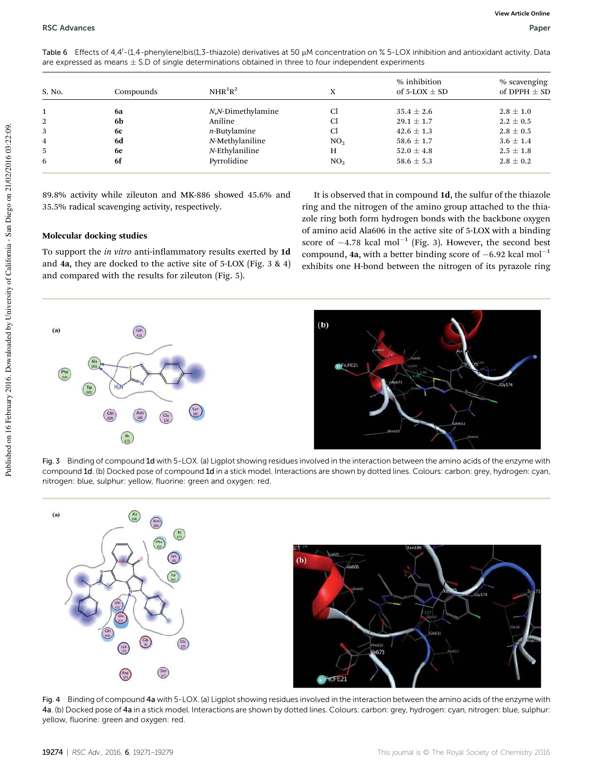| S. No. | Compounds | $NHR^{1}R^{2}$    | X               | % inhibition<br>of 5-LOX $\pm$ SD | % scavenging<br>of DPPH $\pm$ SD |
|--------|-----------|-------------------|-----------------|-----------------------------------|----------------------------------|
|        | 6a        | N,N-Dimethylamine | Cl              | $35.4 \pm 2.6$                    | $2.8 \pm 1.0$                    |
|        | 6b        | Aniline           | Cl              | $29.1 \pm 1.7$                    | $2.2 \pm 0.5$                    |
| 3      | 6с        | $n$ -Butylamine   | Cl              | $42.6 \pm 1.3$                    | $2.8 \pm 0.5$                    |
| 4      | 6d        | N-Methylaniline   | NO <sub>2</sub> | $58.6 \pm 1.7$                    | $3.6 \pm 1.4$                    |
|        | <b>6e</b> | $N$ -Ethylaniline | Н               | $52.0 \pm 4.8$                    | $2.5 \pm 1.8$                    |
| 6      | 6f        | Pyrrolidine       | NO <sub>2</sub> | $58.6 \pm 5.3$                    | $2.8 \pm 0.2$                    |

Table 6 Effects of 4,4'-(1,4-phenylene)bis(1,3-thiazole) derivatives at 50  $\mu$ M concentration on % 5-LOX inhibition and antioxidant activity. Data are expressed as means  $\pm$  S.D of single determinations obtained in three to four independent experiments

89.8% activity while zileuton and MK-886 showed 45.6% and 35.5% radical scavenging activity, respectively.

#### Molecular docking studies

To support the *in vitro* anti-inflammatory results exerted by 1d and 4a, they are docked to the active site of 5-LOX (Fig. 3 & 4) and compared with the results for zileuton (Fig. 5).

It is observed that in compound 1d, the sulfur of the thiazole ring and the nitrogen of the amino group attached to the thiazole ring both form hydrogen bonds with the backbone oxygen of amino acid Ala606 in the active site of 5-LOX with a binding score of  $-4.78$  kcal mol<sup>-1</sup> (Fig. 3). However, the second best compound, 4a, with a better binding score of  $-6.92$  kcal mol<sup>-1</sup> exhibits one H-bond between the nitrogen of its pyrazole ring



Fig. 3 Binding of compound 1d with 5-LOX. (a) Ligplot showing residues involved in the interaction between the amino acids of the enzyme with compound 1d. (b) Docked pose of compound 1d in a stick model. Interactions are shown by dotted lines. Colours: carbon: grey, hydrogen: cyan, nitrogen: blue, sulphur: yellow, fluorine: green and oxygen: red.





Fig. 4 Binding of compound 4a with 5-LOX. (a) Ligplot showing residues involved in the interaction between the amino acids of the enzyme with 4a. (b) Docked pose of 4a in a stick model. Interactions are shown by dotted lines. Colours: carbon: grey, hydrogen: cyan, nitrogen: blue, sulphur: yellow, fluorine: green and oxygen: red.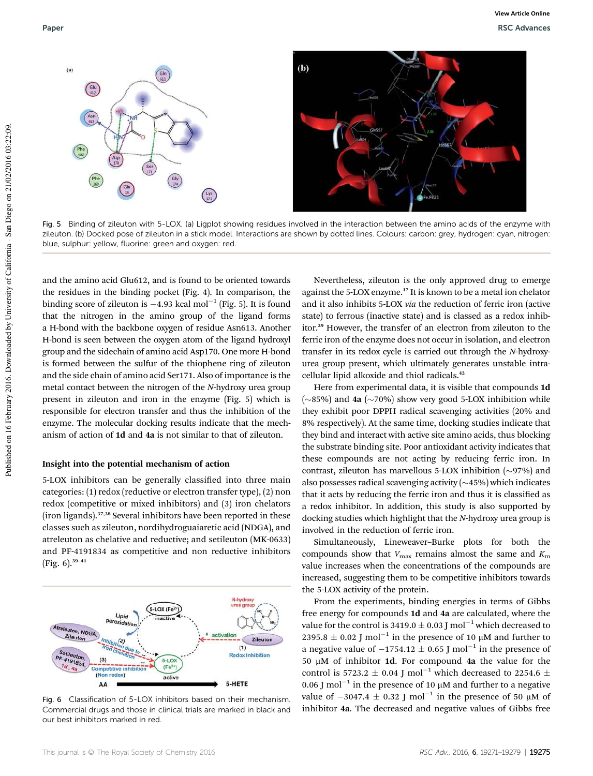

Fig. 5 Binding of zileuton with 5-LOX. (a) Ligplot showing residues involved in the interaction between the amino acids of the enzyme with zileuton. (b) Docked pose of zileuton in a stick model. Interactions are shown by dotted lines. Colours: carbon: grey, hydrogen: cyan, nitrogen: blue, sulphur: yellow, fluorine: green and oxygen: red.

and the amino acid Glu612, and is found to be oriented towards the residues in the binding pocket (Fig. 4). In comparison, the binding score of zileuton is  $-4.93$  kcal mol $^{-1}$  (Fig. 5). It is found that the nitrogen in the amino group of the ligand forms a H-bond with the backbone oxygen of residue Asn613. Another H-bond is seen between the oxygen atom of the ligand hydroxyl group and the sidechain of amino acid Asp170. One more H-bond is formed between the sulfur of the thiophene ring of zileuton and the side chain of amino acid Ser171. Also of importance is the metal contact between the nitrogen of the *N*-hydroxy urea group present in zileuton and iron in the enzyme (Fig. 5) which is responsible for electron transfer and thus the inhibition of the enzyme. The molecular docking results indicate that the mechanism of action of 1d and 4a is not similar to that of zileuton.

#### Insight into the potential mechanism of action

5-LOX inhibitors can be generally classified into three main categories: (1) redox (reductive or electron transfer type), (2) non redox (competitive or mixed inhibitors) and (3) iron chelators (iron ligands).37,38 Several inhibitors have been reported in these classes such as zileuton, nordihydroguaiaretic acid (NDGA), and atreleuton as chelative and reductive; and setileuton (MK-0633) and PF-4191834 as competitive and non reductive inhibitors  $(Fig. 6).^{39-41}$ 



Fig. 6 Classification of 5-LOX inhibitors based on their mechanism. Commercial drugs and those in clinical trials are marked in black and our best inhibitors marked in red.

Nevertheless, zileuton is the only approved drug to emerge against the 5-LOX enzyme.<sup>17</sup> It is known to be a metal ion chelator and it also inhibits 5-LOX *via* the reduction of ferric iron (active state) to ferrous (inactive state) and is classed as a redox inhibitor.<sup>29</sup> However, the transfer of an electron from zileuton to the ferric iron of the enzyme does not occur in isolation, and electron transfer in its redox cycle is carried out through the *N*-hydroxyurea group present, which ultimately generates unstable intracellular lipid alkoxide and thiol radicals.<sup>42</sup>

Here from experimental data, it is visible that compounds 1d ( $\sim$ 85%) and 4a ( $\sim$ 70%) show very good 5-LOX inhibition while they exhibit poor DPPH radical scavenging activities (20% and 8% respectively). At the same time, docking studies indicate that they bind and interact with active site amino acids, thus blocking the substrate binding site. Poor antioxidant activity indicates that these compounds are not acting by reducing ferric iron. In contrast, zileuton has marvellous 5-LOX inhibition  $(\sim]97\%)$  and also possesses radical scavenging activity  $(\sim 45\%)$  which indicates that it acts by reducing the ferric iron and thus it is classified as a redox inhibitor. In addition, this study is also supported by docking studies which highlight that the *N*-hydroxy urea group is involved in the reduction of ferric iron.

Simultaneously, Lineweaver–Burke plots for both the compounds show that  $V_{\text{max}}$  remains almost the same and  $K_{\text{m}}$ value increases when the concentrations of the compounds are increased, suggesting them to be competitive inhibitors towards the 5-LOX activity of the protein.

From the experiments, binding energies in terms of Gibbs free energy for compounds 1d and 4a are calculated, where the value for the control is 3419.0  $\pm$  0.03 J mol<sup>-1</sup> which decreased to 2395.8  $\pm$  0.02 J mol<sup>-1</sup> in the presence of 10  $\mu$ M and further to a negative value of  $-1754.12 \pm 0.65$  J mol $^{-1}$  in the presence of 50  $\mu$ M of inhibitor 1d. For compound 4a the value for the control is 5723.2  $\pm$  0.04 J mol<sup>-1</sup> which decreased to 2254.6  $\pm$ 0.06 J mol<sup>-1</sup> in the presence of 10  $\mu$ M and further to a negative value of  $-3047.4 \pm 0.32$  J mol<sup>-1</sup> in the presence of 50 µM of inhibitor 4a. The decreased and negative values of Gibbs free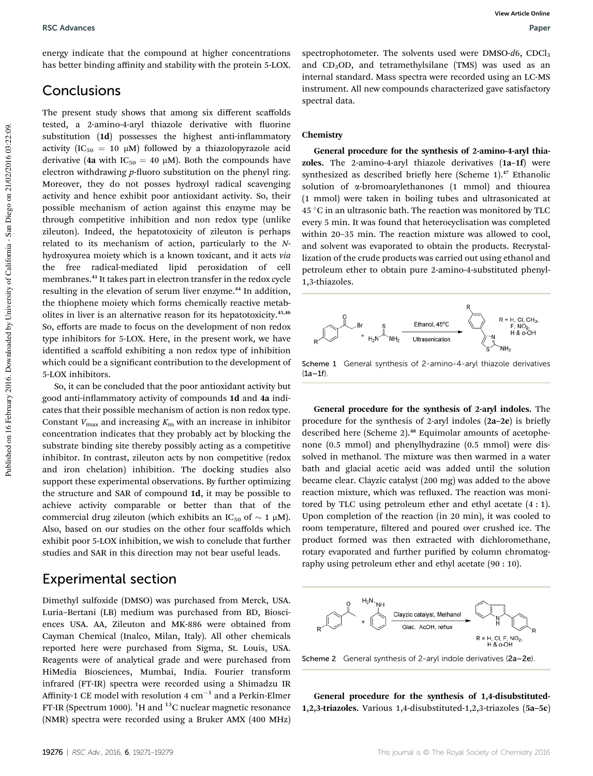energy indicate that the compound at higher concentrations has better binding affinity and stability with the protein 5-LOX.

### **Conclusions**

The present study shows that among six different scaffolds tested, a 2-amino-4-aryl thiazole derivative with fluorine substitution (1d) possesses the highest anti-inflammatory activity (IC<sub>50</sub> = 10  $\mu$ M) followed by a thiazolopyrazole acid derivative (4a with IC<sub>50</sub> = 40  $\mu$ M). Both the compounds have electron withdrawing *p*-fluoro substitution on the phenyl ring. Moreover, they do not posses hydroxyl radical scavenging activity and hence exhibit poor antioxidant activity. So, their possible mechanism of action against this enzyme may be through competitive inhibition and non redox type (unlike zileuton). Indeed, the hepatotoxicity of zileuton is perhaps related to its mechanism of action, particularly to the *N*hydroxyurea moiety which is a known toxicant, and it acts *via* the free radical-mediated lipid peroxidation of cell membranes.<sup>43</sup> It takes part in electron transfer in the redox cycle resulting in the elevation of serum liver enzyme.<sup>44</sup> In addition, the thiophene moiety which forms chemically reactive metabolites in liver is an alternative reason for its hepatotoxicity.<sup>45,46</sup> So, efforts are made to focus on the development of non redox type inhibitors for 5-LOX. Here, in the present work, we have identified a scaffold exhibiting a non redox type of inhibition which could be a significant contribution to the development of 5-LOX inhibitors.

So, it can be concluded that the poor antioxidant activity but good anti-inflammatory activity of compounds 1d and 4a indicates that their possible mechanism of action is non redox type. Constant  $V_{\text{max}}$  and increasing  $K_{\text{m}}$  with an increase in inhibitor concentration indicates that they probably act by blocking the substrate binding site thereby possibly acting as a competitive inhibitor. In contrast, zileuton acts by non competitive (redox and iron chelation) inhibition. The docking studies also support these experimental observations. By further optimizing the structure and SAR of compound 1d, it may be possible to achieve activity comparable or better than that of the commercial drug zileuton (which exhibits an IC<sub>50</sub> of  $\sim 1 \mu M$ ). Also, based on our studies on the other four scaffolds which exhibit poor 5-LOX inhibition, we wish to conclude that further studies and SAR in this direction may not bear useful leads.

### Experimental section

Dimethyl sulfoxide (DMSO) was purchased from Merck, USA. Luria–Bertani (LB) medium was purchased from BD, Biosciences USA. AA, Zileuton and MK-886 were obtained from Cayman Chemical (Inalco, Milan, Italy). All other chemicals reported here were purchased from Sigma, St. Louis, USA. Reagents were of analytical grade and were purchased from HiMedia Biosciences, Mumbai, India. Fourier transform infrared (FT-IR) spectra were recorded using a Shimadzu IR Affinity-1 CE model with resolution 4  $\rm cm^{-1}$  and a Perkin-Elmer FT-IR (Spectrum 1000).  ${}^{1}$ H and  ${}^{13}$ C nuclear magnetic resonance (NMR) spectra were recorded using a Bruker AMX (400 MHz)

spectrophotometer. The solvents used were DMSO-d6, CDCl<sub>3</sub> and CD<sub>3</sub>OD, and tetramethylsilane (TMS) was used as an internal standard. Mass spectra were recorded using an LC-MS instrument. All new compounds characterized gave satisfactory spectral data.

#### Chemistry

General procedure for the synthesis of 2-amino-4-aryl thiazoles. The 2-amino-4-aryl thiazole derivatives (1a–1f) were synthesized as described briefly here (Scheme 1).<sup>47</sup> Ethanolic solution of  $\alpha$ -bromoarylethanones (1 mmol) and thiourea (1 mmol) were taken in boiling tubes and ultrasonicated at  $45 °C$  in an ultrasonic bath. The reaction was monitored by TLC every 5 min. It was found that heterocyclisation was completed within 20–35 min. The reaction mixture was allowed to cool, and solvent was evaporated to obtain the products. Recrystallization of the crude products was carried out using ethanol and petroleum ether to obtain pure 2-amino-4-substituted phenyl-1,3-thiazoles.



Scheme 1 General synthesis of 2-amino-4-aryl thiazole derivatives  $(1a-1f)$ 

General procedure for the synthesis of 2-aryl indoles. The procedure for the synthesis of 2-aryl indoles  $(2a-2e)$  is briefly described here (Scheme 2).<sup>48</sup> Equimolar amounts of acetophenone (0.5 mmol) and phenylhydrazine (0.5 mmol) were dissolved in methanol. The mixture was then warmed in a water bath and glacial acetic acid was added until the solution became clear. Clayzic catalyst (200 mg) was added to the above reaction mixture, which was refluxed. The reaction was monitored by TLC using petroleum ether and ethyl acetate (4 : 1). Upon completion of the reaction (in 20 min), it was cooled to room temperature, filtered and poured over crushed ice. The product formed was then extracted with dichloromethane, rotary evaporated and further purified by column chromatography using petroleum ether and ethyl acetate (90 : 10).



General procedure for the synthesis of 1,4-disubstituted-1,2,3-triazoles. Various 1,4-disubstituted-1,2,3-triazoles (5a–5c)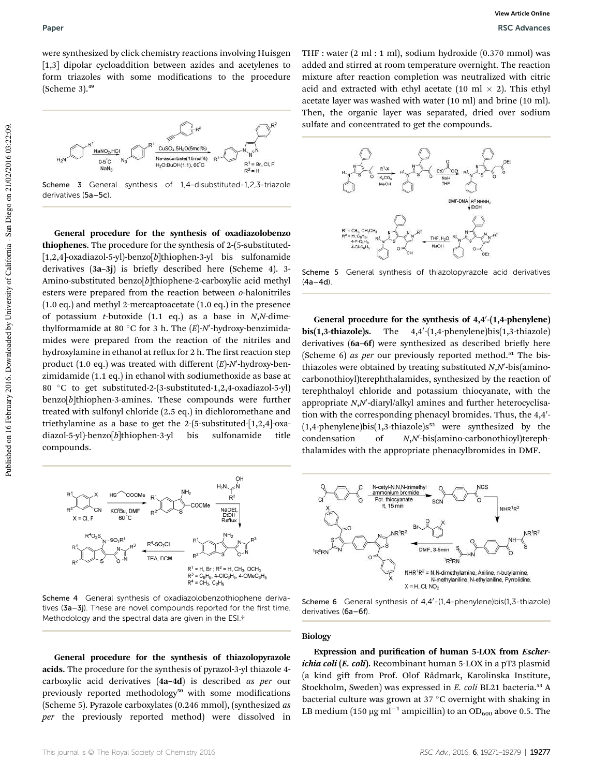were synthesized by click chemistry reactions involving Huisgen [1,3] dipolar cycloaddition between azides and acetylenes to form triazoles with some modifications to the procedure (Scheme 3).<sup>49</sup>



Scheme 3 General synthesis of 1,4-disubstituted-1,2,3-triazole derivatives (5a–5c).

General procedure for the synthesis of oxadiazolobenzo thiophenes. The procedure for the synthesis of 2-(5-substituted- [1,2,4]-oxadiazol-5-yl)-benzo[*b*]thiophen-3-yl bis sulfonamide derivatives  $(3a-3i)$  is briefly described here (Scheme 4). 3-Amino-substituted benzo[*b*]thiophene-2-carboxylic acid methyl esters were prepared from the reaction between *o*-halonitriles (1.0 eq.) and methyl 2-mercaptoacetate (1.0 eq.) in the presence of potassium *t*-butoxide (1.1 eq.) as a base in *N*,*N*-dimethylformamide at 80 °C for 3 h. The (E)-N'-hydroxy-benzimidamides were prepared from the reaction of the nitriles and hydroxylamine in ethanol at reflux for 2 h. The first reaction step product (1.0 eq.) was treated with different (E)-N'-hydroxy-benzimidamide (1.1 eq.) in ethanol with sodiumethoxide as base at 80 °C to get substituted-2-(3-substituted-1,2,4-oxadiazol-5-yl) benzo[*b*]thiophen-3-amines. These compounds were further treated with sulfonyl chloride (2.5 eq.) in dichloromethane and triethylamine as a base to get the 2-(5-substituted-[1,2,4]-oxadiazol-5-yl)-benzo[*b*]thiophen-3-yl bis sulfonamide title compounds.



Scheme 4 General synthesis of oxadiazolobenzothiophene derivatives (3a–3j). These are novel compounds reported for the first time. Methodology and the spectral data are given in the ESI.†

General procedure for the synthesis of thiazolopyrazole acids. The procedure for the synthesis of pyrazol-3-yl thiazole 4 carboxylic acid derivatives (4a–4d) is described *as per* our previously reported methodology<sup>50</sup> with some modifications (Scheme 5). Pyrazole carboxylates (0.246 mmol), (synthesized *as per* the previously reported method) were dissolved in

THF : water (2 ml : 1 ml), sodium hydroxide (0.370 mmol) was added and stirred at room temperature overnight. The reaction mixture after reaction completion was neutralized with citric acid and extracted with ethyl acetate (10 ml  $\times$  2). This ethyl acetate layer was washed with water (10 ml) and brine (10 ml). Then, the organic layer was separated, dried over sodium sulfate and concentrated to get the compounds.



Scheme 5 General synthesis of thiazolopyrazole acid derivatives  $(4a-4d)$ .

General procedure for the synthesis of  $4,4'$ - $(1,4$ -phenylene)  $bis(1,3-thiazole)s.$  The -(1,4-phenylene)bis(1,3-thiazole) derivatives (6a-6f) were synthesized as described briefly here (Scheme 6) *as per* our previously reported method.<sup>51</sup> The bisthiazoles were obtained by treating substituted *N*,*N*'-bis(aminocarbonothioyl)terephthalamides, synthesized by the reaction of terephthaloyl chloride and potassium thiocyanate, with the appropriate N,N'-diaryl/alkyl amines and further heterocyclisation with the corresponding phenacyl bromides. Thus, the 4,4'- $(1,4$ -phenylene)bis $(1,3$ -thiazole)s<sup>52</sup> were synthesized by the condensation of 0 -bis(amino-carbonothioyl)terephthalamides with the appropriate phenacylbromides in DMF.



Scheme 6 General synthesis of  $4,4'$ - $(1,4$ -phenylene)bis( $1,3$ -thiazole) derivatives (6a–6f).

#### Biology

Expression and purification of human 5-LOX from *Escher*ichia coli (E. coli). Recombinant human 5-LOX in a pT3 plasmid (a kind gift from Prof. Olof Rådmark, Karolinska Institute, Stockholm, Sweden) was expressed in *E. coli* BL21 bacteria.<sup>53</sup> A bacterial culture was grown at  $37 °C$  overnight with shaking in LB medium  $(150 \ \mu g \ m l^{-1}$  ampicillin) to an OD $_{600}$  above 0.5. The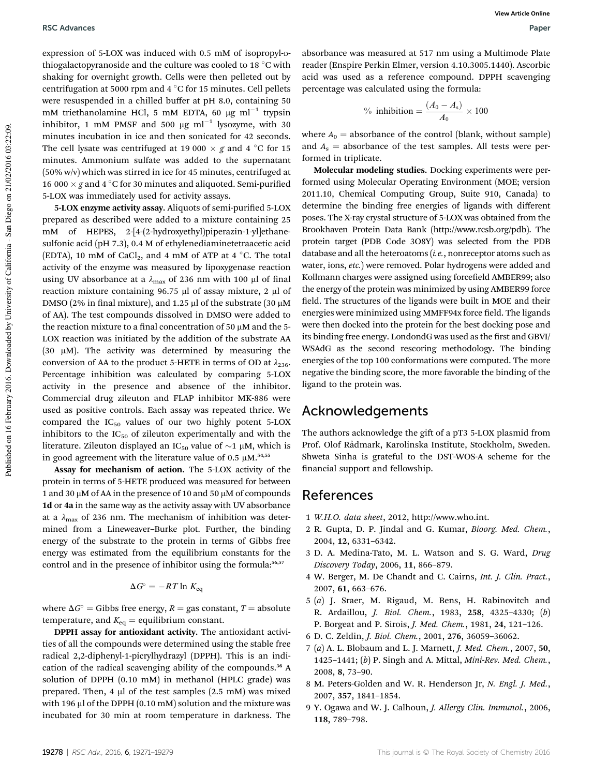expression of 5-LOX was induced with 0.5 mM of isopropyl-Dthiogalactopyranoside and the culture was cooled to 18  $\degree$ C with shaking for overnight growth. Cells were then pelleted out by centrifugation at 5000 rpm and 4  $\degree$ C for 15 minutes. Cell pellets were resuspended in a chilled buffer at pH 8.0, containing 50 mM triethanolamine HCl, 5 mM EDTA, 60  $\mu$ g ml $^{-1}$  trypsin inhibitor, 1 mM PMSF and 500  $\mu$ g ml<sup>-1</sup> lysozyme, with 30 minutes incubation in ice and then sonicated for 42 seconds. The cell lysate was centrifuged at 19 000  $\times$  g and 4 °C for 15 minutes. Ammonium sulfate was added to the supernatant (50% w/v) which was stirred in ice for 45 minutes, centrifuged at 16 000  $\times$  g and 4 °C for 30 minutes and aliquoted. Semi-purified 5-LOX was immediately used for activity assays.

5-LOX enzyme activity assay. Aliquots of semi-purified 5-LOX prepared as described were added to a mixture containing 25 mM of HEPES, 2-[4-(2-hydroxyethyl)piperazin-1-yl]ethanesulfonic acid (pH 7.3), 0.4 M of ethylenediaminetetraacetic acid (EDTA), 10 mM of CaCl<sub>2</sub>, and 4 mM of ATP at 4 °C. The total activity of the enzyme was measured by lipoxygenase reaction using UV absorbance at a  $\lambda_{\text{max}}$  of 236 nm with 100 µl of final reaction mixture containing 96.75  $\mu$ l of assay mixture, 2  $\mu$ l of DMSO (2% in final mixture), and 1.25  $\mu$ l of the substrate (30  $\mu$ M of AA). The test compounds dissolved in DMSO were added to the reaction mixture to a final concentration of 50  $\mu$ M and the 5-LOX reaction was initiated by the addition of the substrate AA (30  $\mu$ M). The activity was determined by measuring the conversion of AA to the product 5-HETE in terms of OD at  $\lambda_{236}$ . Percentage inhibition was calculated by comparing 5-LOX activity in the presence and absence of the inhibitor. Commercial drug zileuton and FLAP inhibitor MK-886 were used as positive controls. Each assay was repeated thrice. We compared the  $IC_{50}$  values of our two highly potent 5-LOX inhibitors to the  $IC_{50}$  of zileuton experimentally and with the literature. Zileuton displayed an IC<sub>50</sub> value of  $\sim$ 1 µM, which is in good agreement with the literature value of 0.5  $\mu$ M.<sup>54,55</sup>

Assay for mechanism of action. The 5-LOX activity of the protein in terms of 5-HETE produced was measured for between 1 and 30  $\mu$ M of AA in the presence of 10 and 50  $\mu$ M of compounds 1d or 4a in the same way as the activity assay with UV absorbance at a  $\lambda_{\text{max}}$  of 236 nm. The mechanism of inhibition was determined from a Lineweaver–Burke plot. Further, the binding energy of the substrate to the protein in terms of Gibbs free energy was estimated from the equilibrium constants for the control and in the presence of inhibitor using the formula:<sup>56,57</sup>

$$
\Delta G^{\circ} = -RT \ln K_{\text{eq}}
$$

where  $\Delta G^{\circ} =$  Gibbs free energy,  $R =$  gas constant,  $T =$  absolute temperature, and  $K_{eq}$  = equilibrium constant.

DPPH assay for antioxidant activity. The antioxidant activities of all the compounds were determined using the stable free radical 2,2-diphenyl-1-picrylhydrazyl (DPPH). This is an indication of the radical scavenging ability of the compounds.<sup>36</sup> A solution of DPPH (0.10 mM) in methanol (HPLC grade) was prepared. Then, 4  $\mu$ l of the test samples (2.5 mM) was mixed with 196  $\mu$ l of the DPPH (0.10 mM) solution and the mixture was incubated for 30 min at room temperature in darkness. The

absorbance was measured at 517 nm using a Multimode Plate reader (Enspire Perkin Elmer, version 4.10.3005.1440). Ascorbic acid was used as a reference compound. DPPH scavenging percentage was calculated using the formula:

<sup>9</sup>% inhibition = 
$$
\frac{(A_0 - A_s)}{A_0} \times 100
$$

where  $A_0$  = absorbance of the control (blank, without sample) and  $A_s$  = absorbance of the test samples. All tests were performed in triplicate.

Molecular modeling studies. Docking experiments were performed using Molecular Operating Environment (MOE; version 2011.10, Chemical Computing Group, Suite 910, Canada) to determine the binding free energies of ligands with different poses. The X-ray crystal structure of 5-LOX was obtained from the Brookhaven Protein Data Bank (http://www.rcsb.org/pdb). The protein target (PDB Code 3O8Y) was selected from the PDB database and all the heteroatoms (*i.e.*, nonreceptor atoms such as water, ions, *etc.*) were removed. Polar hydrogens were added and Kollmann charges were assigned using forcefield AMBER99; also the energy of the protein was minimized by using AMBER99 force field. The structures of the ligands were built in MOE and their energies were minimized using MMFF94x force field. The ligands were then docked into the protein for the best docking pose and its binding free energy. LondondG was used as the first and GBVI/ WSAdG as the second rescoring methodology. The binding energies of the top 100 conformations were computed. The more negative the binding score, the more favorable the binding of the ligand to the protein was.

### Acknowledgements

The authors acknowledge the gift of a pT3 5-LOX plasmid from Prof. Olof R˚admark, Karolinska Institute, Stockholm, Sweden. Shweta Sinha is grateful to the DST-WOS-A scheme for the financial support and fellowship.

### References

- 1 *W.H.O. data sheet*, 2012, http://www.who.int.
- 2 R. Gupta, D. P. Jindal and G. Kumar, *Bioorg. Med. Chem.*, 2004, 12, 6331–6342.
- 3 D. A. Medina-Tato, M. L. Watson and S. G. Ward, *Drug Discovery Today*, 2006, 11, 866–879.
- 4 W. Berger, M. De Chandt and C. Cairns, *Int. J. Clin. Pract.*, 2007, 61, 663–676.
- 5 (*a*) J. Sraer, M. Rigaud, M. Bens, H. Rabinovitch and R. Ardaillou, *J. Biol. Chem.*, 1983, 258, 4325–4330; (*b*) P. Borgeat and P. Sirois, *J. Med. Chem.*, 1981, 24, 121–126.
- 6 D. C. Zeldin, *J. Biol. Chem.*, 2001, 276, 36059–36062.
- 7 (*a*) A. L. Blobaum and L. J. Marnett, *J. Med. Chem.*, 2007, 50, 1425–1441; (*b*) P. Singh and A. Mittal, *Mini-Rev. Med. Chem.*, 2008, 8, 73–90.
- 8 M. Peters-Golden and W. R. Henderson Jr, *N. Engl. J. Med.*, 2007, 357, 1841–1854.
- 9 Y. Ogawa and W. J. Calhoun, *J. Allergy Clin. Immunol.*, 2006, 118, 789–798.